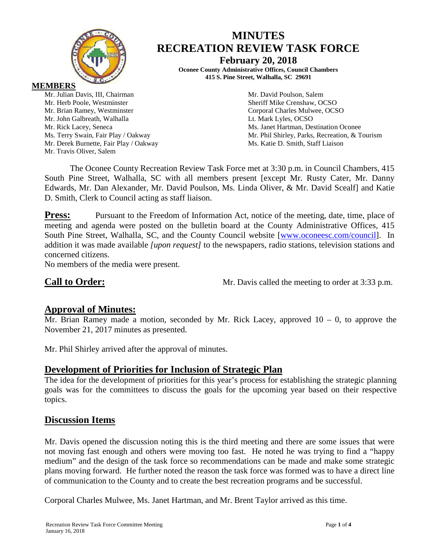

# **MINUTES RECREATION REVIEW TASK FORCE**

**February 20, 2018**

**Oconee County Administrative Offices, Council Chambers 415 S. Pine Street, Walhalla, SC 29691**

**MEMBERS**

Mr. Julian Davis, III, Chairman Mr. David Poulson, Salem Mr. Herb Poole, Westminster Sheriff Mike Crenshaw, OCSO Mr. Brian Ramey, Westminster Corporal Charles Mulwee, OCSO Mr. John Galbreath, Walhalla **Letter and Letter and Letter and Lt. Mark Lyles, OCSO** Mr. Derek Burnette, Fair Play / Oakway Ms. Katie D. Smith, Staff Liaison Mr. Travis Oliver, Salem

Mr. Rick Lacey, Seneca **Ms. Janet Hartman, Destination Oconee** Ms. Terry Swain, Fair Play / Oakway Mr. Phil Shirley, Parks, Recreation, & Tourism

The Oconee County Recreation Review Task Force met at 3:30 p.m. in Council Chambers, 415 South Pine Street, Walhalla, SC with all members present [except Mr. Rusty Cater, Mr. Danny Edwards, Mr. Dan Alexander, Mr. David Poulson, Ms. Linda Oliver, & Mr. David Scealf] and Katie D. Smith, Clerk to Council acting as staff liaison.

**Press:** Pursuant to the Freedom of Information Act, notice of the meeting, date, time, place of meeting and agenda were posted on the bulletin board at the County Administrative Offices, 415 South Pine Street, Walhalla, SC, and the County Council website [\[www.oconeesc.com/council\]](http://www.oconeesc.com/council). In addition it was made available *[upon request]* to the newspapers, radio stations, television stations and concerned citizens.

No members of the media were present.

**Call to Order:** Mr. Davis called the meeting to order at 3:33 p.m.

## **Approval of Minutes:**

Mr. Brian Ramey made a motion, seconded by Mr. Rick Lacey, approved  $10 - 0$ , to approve the November 21, 2017 minutes as presented.

Mr. Phil Shirley arrived after the approval of minutes.

## **Development of Priorities for Inclusion of Strategic Plan**

The idea for the development of priorities for this year's process for establishing the strategic planning goals was for the committees to discuss the goals for the upcoming year based on their respective topics.

## **Discussion Items**

Mr. Davis opened the discussion noting this is the third meeting and there are some issues that were not moving fast enough and others were moving too fast. He noted he was trying to find a "happy medium" and the design of the task force so recommendations can be made and make some strategic plans moving forward. He further noted the reason the task force was formed was to have a direct line of communication to the County and to create the best recreation programs and be successful.

Corporal Charles Mulwee, Ms. Janet Hartman, and Mr. Brent Taylor arrived as this time.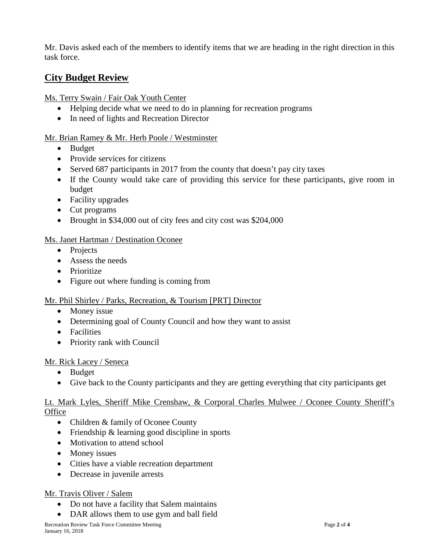Mr. Davis asked each of the members to identify items that we are heading in the right direction in this task force.

# **City Budget Review**

Ms. Terry Swain / Fair Oak Youth Center

- Helping decide what we need to do in planning for recreation programs
- In need of lights and Recreation Director

#### Mr. Brian Ramey & Mr. Herb Poole / Westminster

- Budget
- Provide services for citizens
- Served 687 participants in 2017 from the county that doesn't pay city taxes
- If the County would take care of providing this service for these participants, give room in budget
- Facility upgrades
- Cut programs
- Brought in \$34,000 out of city fees and city cost was \$204,000

#### Ms. Janet Hartman / Destination Oconee

- Projects
- Assess the needs
- Prioritize
- Figure out where funding is coming from

#### Mr. Phil Shirley / Parks, Recreation, & Tourism [PRT] Director

- Money issue
- Determining goal of County Council and how they want to assist
- Facilities
- Priority rank with Council

#### Mr. Rick Lacey / Seneca

- Budget
- Give back to the County participants and they are getting everything that city participants get

#### Lt. Mark Lyles, Sheriff Mike Crenshaw, & Corporal Charles Mulwee / Oconee County Sheriff's **Office**

- Children & family of Oconee County
- Friendship & learning good discipline in sports
- Motivation to attend school
- Money issues
- Cities have a viable recreation department
- Decrease in juvenile arrests

#### Mr. Travis Oliver / Salem

- Do not have a facility that Salem maintains
- DAR allows them to use gym and ball field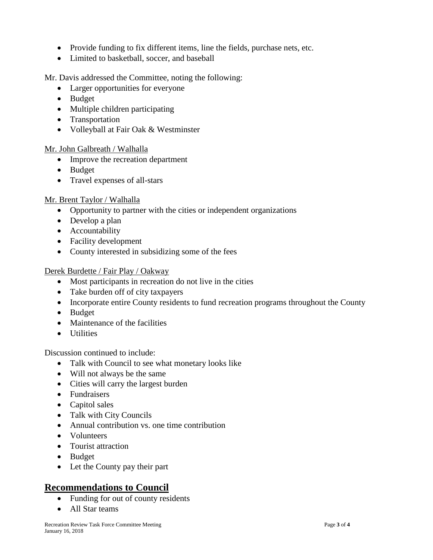- Provide funding to fix different items, line the fields, purchase nets, etc.
- Limited to basketball, soccer, and baseball

Mr. Davis addressed the Committee, noting the following:

- Larger opportunities for everyone
- Budget
- Multiple children participating
- Transportation
- Volleyball at Fair Oak & Westminster

#### Mr. John Galbreath / Walhalla

- Improve the recreation department
- Budget
- Travel expenses of all-stars

#### Mr. Brent Taylor / Walhalla

- Opportunity to partner with the cities or independent organizations
- Develop a plan
- Accountability
- Facility development
- County interested in subsidizing some of the fees

#### Derek Burdette / Fair Play / Oakway

- Most participants in recreation do not live in the cities
- Take burden off of city taxpayers
- Incorporate entire County residents to fund recreation programs throughout the County
- Budget
- Maintenance of the facilities
- Utilities

Discussion continued to include:

- Talk with Council to see what monetary looks like
- Will not always be the same
- Cities will carry the largest burden
- Fundraisers
- Capitol sales
- Talk with City Councils
- Annual contribution vs. one time contribution
- Volunteers
- Tourist attraction
- Budget
- Let the County pay their part

# **Recommendations to Council**

- Funding for out of county residents
- All Star teams